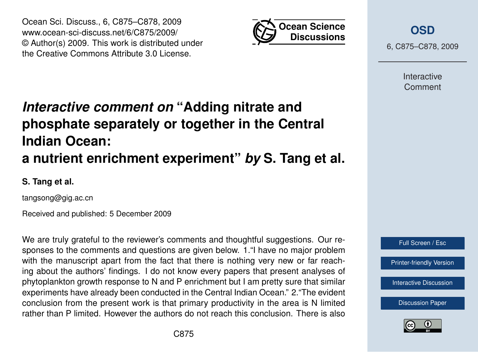

Ocean Sci. Discuss., 6, C875–C878, 2009 www.ocean-sci-discuss.net/6/C875/2009/ © Author(s) 2009. This work is distributed under the Creative Commons Attribute 3.0 License.

## *Interactive comment on* **"Adding nitrate and phosphate separately or together in the Central Indian Ocean: a nutrient enrichment experiment"** *by* **S. Tang et al.**

**S. Tang et al.**

tangsong@gig.ac.cn

Received and published: 5 December 2009

We are truly grateful to the reviewer's comments and thoughtful suggestions. Our responses to the comments and questions are given below. 1."I have no major problem with the manuscript apart from the fact that there is nothing very new or far reaching about the authors' findings. I do not know every papers that present analyses of phytoplankton growth response to N and P enrichment but I am pretty sure that similar experiments have already been conducted in the Central Indian Ocean." 2."The evident conclusion from the present work is that primary productivity in the area is N limited rather than P limited. However the authors do not reach this conclusion. There is also



6, C875–C878, 2009

Interactive Comment



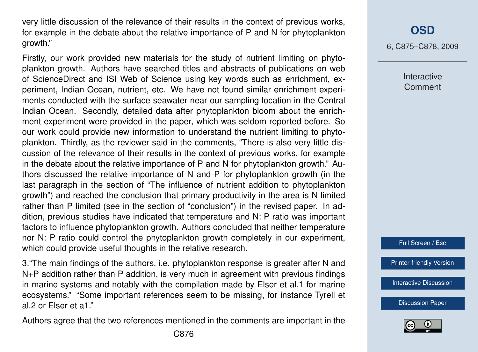very little discussion of the relevance of their results in the context of previous works, for example in the debate about the relative importance of P and N for phytoplankton growth."

Firstly, our work provided new materials for the study of nutrient limiting on phytoplankton growth. Authors have searched titles and abstracts of publications on web of ScienceDirect and ISI Web of Science using key words such as enrichment, experiment, Indian Ocean, nutrient, etc. We have not found similar enrichment experiments conducted with the surface seawater near our sampling location in the Central Indian Ocean. Secondly, detailed data after phytoplankton bloom about the enrichment experiment were provided in the paper, which was seldom reported before. So our work could provide new information to understand the nutrient limiting to phytoplankton. Thirdly, as the reviewer said in the comments, "There is also very little discussion of the relevance of their results in the context of previous works, for example in the debate about the relative importance of P and N for phytoplankton growth." Authors discussed the relative importance of N and P for phytoplankton growth (in the last paragraph in the section of "The influence of nutrient addition to phytoplankton growth") and reached the conclusion that primary productivity in the area is N limited rather than P limited (see in the section of "conclusion") in the revised paper. In addition, previous studies have indicated that temperature and N: P ratio was important factors to influence phytoplankton growth. Authors concluded that neither temperature nor N: P ratio could control the phytoplankton growth completely in our experiment, which could provide useful thoughts in the relative research.

3."The main findings of the authors, i.e. phytoplankton response is greater after N and N+P addition rather than P addition, is very much in agreement with previous findings in marine systems and notably with the compilation made by Elser et al.1 for marine ecosystems." "Some important references seem to be missing, for instance Tyrell et al.2 or Elser et a1."

Authors agree that the two references mentioned in the comments are important in the

## **[OSD](http://www.ocean-sci-discuss.net)**

6, C875–C878, 2009

**Interactive Comment** 



[Printer-friendly Version](http://www.ocean-sci-discuss.net/6/C875/2009/osd-6-C875-2009-print.pdf)

[Interactive Discussion](http://www.ocean-sci-discuss.net/6/2649/2009/osd-6-2649-2009-discussion.html)

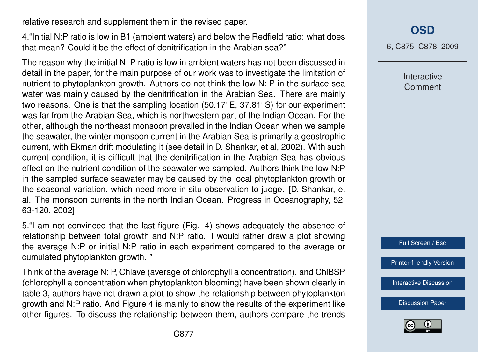relative research and supplement them in the revised paper.

4."Initial N:P ratio is low in B1 (ambient waters) and below the Redfield ratio: what does that mean? Could it be the effect of denitrification in the Arabian sea?"

The reason why the initial N: P ratio is low in ambient waters has not been discussed in detail in the paper, for the main purpose of our work was to investigate the limitation of nutrient to phytoplankton growth. Authors do not think the low N: P in the surface sea water was mainly caused by the denitrification in the Arabian Sea. There are mainly two reasons. One is that the sampling location (50.17 $\degree$ E, 37.81 $\degree$ S) for our experiment was far from the Arabian Sea, which is northwestern part of the Indian Ocean. For the other, although the northeast monsoon prevailed in the Indian Ocean when we sample the seawater, the winter monsoon current in the Arabian Sea is primarily a geostrophic current, with Ekman drift modulating it (see detail in D. Shankar, et al, 2002). With such current condition, it is difficult that the denitrification in the Arabian Sea has obvious effect on the nutrient condition of the seawater we sampled. Authors think the low N:P in the sampled surface seawater may be caused by the local phytoplankton growth or the seasonal variation, which need more in situ observation to judge. [D. Shankar, et al. The monsoon currents in the north Indian Ocean. Progress in Oceanography, 52, 63-120, 2002]

5."I am not convinced that the last figure (Fig. 4) shows adequately the absence of relationship between total growth and N:P ratio. I would rather draw a plot showing the average N:P or initial N:P ratio in each experiment compared to the average or cumulated phytoplankton growth. "

Think of the average N: P, Chlave (average of chlorophyll a concentration), and ChlBSP (chlorophyll a concentration when phytoplankton blooming) have been shown clearly in table 3, authors have not drawn a plot to show the relationship between phytoplankton growth and N:P ratio. And Figure 4 is mainly to show the results of the experiment like other figures. To discuss the relationship between them, authors compare the trends **[OSD](http://www.ocean-sci-discuss.net)**

6, C875–C878, 2009

Interactive Comment

Full Screen / Esc

[Printer-friendly Version](http://www.ocean-sci-discuss.net/6/C875/2009/osd-6-C875-2009-print.pdf)

[Interactive Discussion](http://www.ocean-sci-discuss.net/6/2649/2009/osd-6-2649-2009-discussion.html)